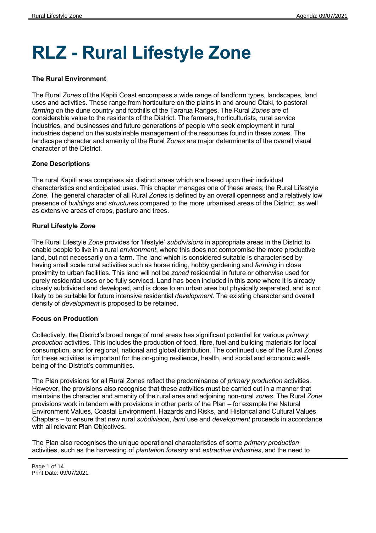# **RLZ - Rural Lifestyle Zone**

#### **The Rural Environment**

The Rural *Zones* of the Kāpiti Coast encompass a wide range of landform types, landscapes, land uses and activities. These range from horticulture on the plains in and around Ōtaki, to pastoral *farming* on the dune country and foothills of the Tararua Ranges. The Rural *Zones* are of considerable value to the residents of the District. The farmers, horticulturists, rural service industries, and businesses and future generations of people who seek employment in rural industries depend on the sustainable management of the resources found in these *zone*s. The landscape character and amenity of the Rural *Zones* are major determinants of the overall visual character of the District.

#### **Zone Descriptions**

The rural Kāpiti area comprises six distinct areas which are based upon their individual characteristics and anticipated uses. This chapter manages one of these areas; the Rural Lifestyle Zone. The general character of all Rural *Zones* is defined by an overall openness and a relatively low presence of *buildings* and *structures* compared to the more urbanised areas of the District, as well as extensive areas of crops, pasture and trees.

#### **Rural Lifestyle** *Zone*

The Rural Lifestyle *Zone* provides for 'lifestyle' *subdivisions* in appropriate areas in the District to enable people to live in a rural *environment*, where this does not compromise the more productive land, but not necessarily on a farm. The land which is considered suitable is characterised by having small scale rural activities such as horse riding, hobby gardening and *farming* in close proximity to urban facilities. This land will not be *zoned* residential in future or otherwise used for purely residential uses or be fully serviced. Land has been included in this *zone* where it is already closely subdivided and developed, and is close to an urban area but physically separated, and is not likely to be suitable for future intensive residential *development*. The existing character and overall density of *development* is proposed to be retained.

#### **Focus on Production**

Collectively, the District's broad range of rural areas has significant potential for various *primary production* activities. This includes the production of food, fibre, fuel and building materials for local consumption, and for regional, national and global distribution. The continued use of the Rural *Zones* for these activities is important for the on-going resilience, health, and social and economic wellbeing of the District's communities.

The Plan provisions for all Rural Zones reflect the predominance of *primary production* activities*.* However, the provisions also recognise that these activities must be carried out in a manner that maintains the character and amenity of the rural area and adjoining non-rural *zones*. The Rural *Zone* provisions work in tandem with provisions in other parts of the Plan – for example the Natural Environment Values, Coastal Environment, Hazards and Risks, and Historical and Cultural Values Chapters – to ensure that new rural *subdivision*, *land* use and *development* proceeds in accordance with all relevant Plan Objectives.

The Plan also recognises the unique operational characteristics of some *primary production* activities, such as the harvesting of *plantation forestry* and *extractive industries*, and the need to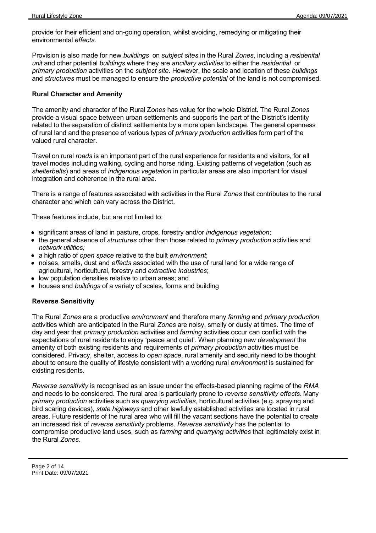provide for their efficient and on-going operation, whilst avoiding, remedying or mitigating their environmental *effects*.

Provision is also made for new *buildings*  on *subject sites* in the Rural *Zones*, including a *residenital unit* and other potential *buildings* where they are *ancillary activities* to either the *residential* or *primary production* activities on the *subject site*. However, the scale and location of these *buildings* and *structures* must be managed to ensure the *productive potential* of the land is not compromised.

#### **Rural Character and Amenity**

The amenity and character of the Rural Z*ones* has value for the whole District. The Rural *Zones* provide a visual space between urban settlements and supports the part of the District's identity related to the separation of distinct settlements by a more open landscape. The general openness of rural land and the presence of various types of *primary production* activities form part of the valued rural character.

Travel on rural *roads* is an important part of the rural experience for residents and visitors, for all travel modes including walking, cycling and horse riding. Existing patterns of vegetation (such as *shelterbelts*) and areas of *indigenous vegetation* in particular areas are also important for visual integration and coherence in the rural area.

There is a range of features associated with activities in the Rural *Zones* that contributes to the rural character and which can vary across the District.

These features include, but are not limited to:

- significant areas of land in pasture, crops, forestry and/or *indigenous vegetation*;
- the general absence of *structures* other than those related to *primary production* activities and *network utilities;*
- a high ratio of *open space* relative to the built *environment*;
- noises, smells, dust and *effects* associated with the use of rural land for a wide range of agricultural, horticultural, forestry and *extractive industries*;
- low population densities relative to urban areas; and
- houses and *buildings* of a variety of scales, forms and building

#### **Reverse Sensitivity**

The Rural *Zones* are a productive *environment* and therefore many *farming* and *primary production* activities which are anticipated in the Rural *Zones* are noisy, smelly or dusty at times. The time of day and year that *primary production* activities and *farming* activities occur can conflict with the expectations of rural residents to enjoy 'peace and quiet'. When planning new *development* the amenity of both existing residents and requirements of *primary production* activities must be considered. Privacy, shelter, access to *open space*, rural amenity and security need to be thought about to ensure the quality of lifestyle consistent with a working rural *environment* is sustained for existing residents.

*Reverse sensitivity* is recognised as an issue under the effects-based planning regime of the *RMA* and needs to be considered. The rural area is particularly prone to *reverse sensitivity effects*. Many *primary production* activities such as *quarrying activities*, horticultural activities (e.g. spraying and bird scaring devices), *state highways* and other lawfully established activities are located in rural areas. Future residents of the rural area who will fill the vacant sections have the potential to create an increased risk of *reverse sensitivity* problems. *Reverse sensitivity* has the potential to compromise productive land uses, such as *farming* and *quarrying activities* that legitimately exist in the Rural *Zones*.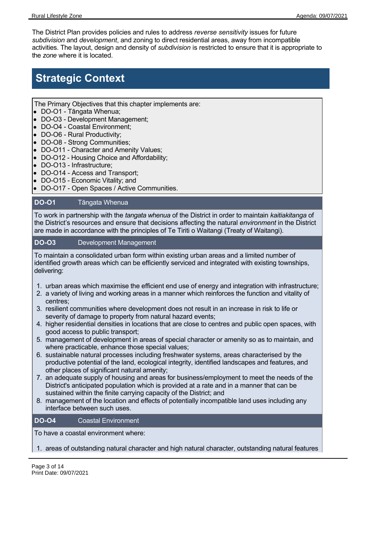The District Plan provides policies and rules to address *reverse sensitivity* issues for future *subdivision* and *development*, and zoning to direct residential areas, away from incompatible activities. The layout, design and density of *subdivision* is restricted to ensure that it is appropriate to the *zone* where it is located.

# **Strategic Context**

The Primary Objectives that this chapter implements are:

- DO-O1 Tāngata Whenua:
- DO-O3 Development Management;
- DO-O4 Coastal Environment;
- DO-O6 Rural Productivity;
- DO-O8 Strong Communities;
- DO-O11 Character and Amenity Values;
- DO-O12 Housing Choice and Affordability;
- DO-O13 Infrastructure;
- DO-O14 Access and Transport;
- DO-O15 Economic Vitality; and
- DO-O17 Open Spaces / Active Communities.

#### **DO-O1** Tāngata Whenua

To work in partnership with the *tangata whenua* of the District in order to maintain *kaitiakitanga* of the District's resources and ensure that decisions affecting the natural *environment* in the District are made in accordance with the principles of Te Tiriti o Waitangi (Treaty of Waitangi).

#### **DO-O3** Development Management

To maintain a consolidated urban form within existing urban areas and a limited number of identified growth areas which can be efficiently serviced and integrated with existing townships, delivering:

- 1. urban areas which maximise the efficient end use of energy and integration with infrastructure;
- 2. a variety of living and working areas in a manner which reinforces the function and vitality of centres;
- 3. resilient communities where development does not result in an increase in risk to life or severity of damage to property from natural hazard events;
- 4. higher residential densities in locations that are close to centres and public open spaces, with good access to public transport;
- 5. management of development in areas of special character or amenity so as to maintain, and where practicable, enhance those special values;
- 6. sustainable natural processes including freshwater systems, areas characterised by the productive potential of the land, ecological integrity, identified landscapes and features, and other places of significant natural amenity;
- 7. an adequate supply of housing and areas for business/employment to meet the needs of the District's anticipated population which is provided at a rate and in a manner that can be sustained within the finite carrying capacity of the District; and
- 8. management of the location and effects of potentially incompatible land uses including any interface between such uses.

#### **DO-O4** Coastal Environment

To have a coastal environment where:

#### 1. areas of outstanding natural character and high natural character, outstanding natural features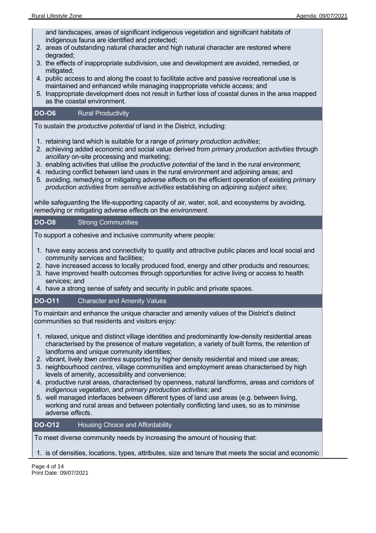and landscapes, areas of significant indigenous vegetation and significant habitats of indigenous fauna are identified and protected;

- 2. areas of outstanding natural character and high natural character are restored where degraded;
- 3. the effects of inappropriate subdivision, use and development are avoided, remedied, or mitigated;
- 4. public access to and along the coast to facilitate active and passive recreational use is maintained and enhanced while managing inappropriate vehicle access; and
- 5. Inappropriate development does not result in further loss of coastal dunes in the area mapped as the coastal environment.

#### **DO-O6** Rural Productivity

To sustain the *productive potential* of land in the District, including:

- 1. retaining land which is suitable for a range of *primary production activities*;
- 2. achieving added economic and social value derived from *primary production activities* through *ancillary* on-site processing and marketing;
- 3. enabling activities that utilise the *productive potential* of the land in the rural environment;
- 4. reducing conflict between land uses in the rural environment and adjoining areas; and
- 5. avoiding, remedying or mitigating adverse *effect*s on the efficient operation of existing *primary production activities* from *sensitive activities* establishing on adjoining *subject sites*;

while safeguarding the life-supporting capacity of air, water, soil, and ecosystems by avoiding, remedying or mitigating adverse *effect*s on the *environment*.

#### **DO-O8** Strong Communities

To support a cohesive and inclusive community where people:

- 1. have easy access and connectivity to quality and attractive public places and local social and community services and facilities;
- 2. have increased access to locally produced food, energy and other products and resources;
- 3. have improved health outcomes through opportunities for active living or access to health services; and
- 4. have a strong sense of safety and security in public and private spaces.

#### **DO-O11** Character and Amenity Values

To maintain and enhance the unique character and amenity values of the District's distinct communities so that residents and visitors enjoy:

- 1. relaxed, unique and distinct village identities and predominantly low-density residential areas characterised by the presence of mature vegetation, a variety of built forms, the retention of landforms and unique community identities;
- 2. vibrant, lively *town centres* supported by higher density residential and mixed use areas;
- 3. neighbourhood *centres*, village communities and employment areas characterised by high levels of amenity, accessibility and convenience;
- 4. productive rural areas, characterised by openness, natural landforms, areas and corridors of *indigenous vegetation*, and *primary production activities*; and
- 5. well managed interfaces between different types of land use areas (e.g. between living, working and rural areas and between potentially conflicting land uses, so as to minimise adverse *effect*s.

#### **DO-O12** Housing Choice and Affordability

To meet diverse community needs by increasing the amount of housing that:

1. is of densities, locations, types, attributes, size and tenure that meets the social and economic

Page 4 of 14 Print Date: 09/07/2021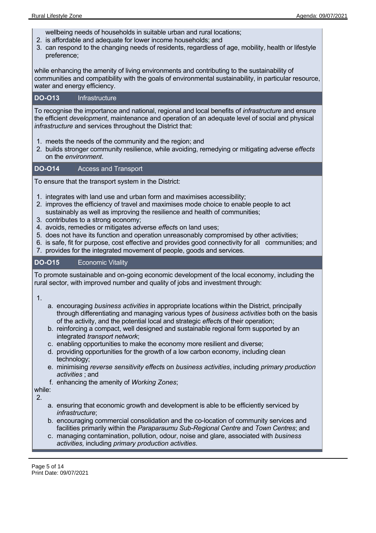wellbeing needs of households in suitable urban and rural locations;

- 2. is affordable and adequate for lower income households; and
- 3. can respond to the changing needs of residents, regardless of age, mobility, health or lifestyle preference;

while enhancing the amenity of living environments and contributing to the sustainability of communities and compatibility with the goals of environmental sustainability, in particular resource, water and energy efficiency.

### **DO-O13** Infrastructure

To recognise the importance and national, regional and local benefits of *infrastructure* and ensure the efficient *development*, maintenance and operation of an adequate level of social and physical *infrastructure* and services throughout the District that:

- 1. meets the needs of the community and the region; and
- 2. builds stronger community resilience, while avoiding, remedying or mitigating adverse *effects* on the *environment*.

## **DO-O14** Access and Transport

To ensure that the transport system in the District:

- 1. integrates with land use and urban form and maximises accessibility;
- 2. improves the efficiency of travel and maximises mode choice to enable people to act sustainably as well as improving the resilience and health of communities;
- 3. contributes to a strong economy;
- 4. avoids, remedies or mitigates adverse *effect*s on land uses;
- 5. does not have its function and operation unreasonably compromised by other activities;
- 6. is safe, fit for purpose, cost effective and provides good connectivity for all communities; and
- 7. provides for the integrated movement of people, goods and services.

## **DO-O15** Economic Vitality

To promote sustainable and on-going economic development of the local economy, including the rural sector, with improved number and quality of jobs and investment through:

1.

- a. encouraging *business activities* in appropriate locations within the District, principally through differentiating and managing various types of *business activities* both on the basis of the activity, and the potential local and strategic *effect*s of their operation;
- b. reinforcing a compact, well designed and sustainable regional form supported by an integrated *transport network*;
- c. enabling opportunities to make the economy more resilient and diverse;
- d. providing opportunities for the growth of a low carbon economy, including clean technology;
- e. minimising *reverse sensitivity effect*s on *business activities*, including *primary production activities* ; and
- f. enhancing the amenity of *Working Zones*;

while:

2.

- a. ensuring that economic growth and development is able to be efficiently serviced by *infrastructure*;
- b. encouraging commercial consolidation and the co-location of community services and facilities primarily within the *Paraparaumu Sub-Regional Centre* and *Town Centres*; and
- c. managing contamination, pollution, odour, noise and glare, associated with *business activities,* including *primary production activities*.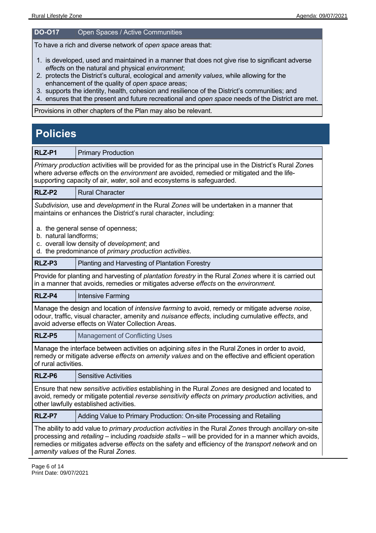#### **DO-O17** Open Spaces / Active Communities

To have a rich and diverse network of *open space* areas that:

- 1. is developed, used and maintained in a manner that does not give rise to significant adverse *effect*s on the natural and physical *environment*;
- 2. protects the District's cultural, ecological and *amenity values*, while allowing for the enhancement of the quality of *open space* areas;
- 3. supports the identity, health, cohesion and resilience of the District's communities; and
- 4. ensures that the present and future recreational and *open space* needs of the District are met.

Provisions in other chapters of the Plan may also be relevant.

# **Policies**

| RLZ-P1                                                                                                                                                                                                                                                                                                                                                      | <b>Primary Production</b>                                                                                                                                                                                                                                                    |  |
|-------------------------------------------------------------------------------------------------------------------------------------------------------------------------------------------------------------------------------------------------------------------------------------------------------------------------------------------------------------|------------------------------------------------------------------------------------------------------------------------------------------------------------------------------------------------------------------------------------------------------------------------------|--|
|                                                                                                                                                                                                                                                                                                                                                             | Primary production activities will be provided for as the principal use in the District's Rural Zones<br>where adverse effects on the environment are avoided, remedied or mitigated and the life-<br>supporting capacity of air, water, soil and ecosystems is safeguarded. |  |
| RLZ-P2                                                                                                                                                                                                                                                                                                                                                      | <b>Rural Character</b>                                                                                                                                                                                                                                                       |  |
|                                                                                                                                                                                                                                                                                                                                                             | Subdivision, use and development in the Rural Zones will be undertaken in a manner that<br>maintains or enhances the District's rural character, including:                                                                                                                  |  |
| b. natural landforms;                                                                                                                                                                                                                                                                                                                                       | a. the general sense of openness;<br>c. overall low density of development; and<br>d. the predominance of primary production activities.                                                                                                                                     |  |
| RLZ-P3                                                                                                                                                                                                                                                                                                                                                      | Planting and Harvesting of Plantation Forestry                                                                                                                                                                                                                               |  |
| Provide for planting and harvesting of plantation forestry in the Rural Zones where it is carried out<br>in a manner that avoids, remedies or mitigates adverse effects on the environment.                                                                                                                                                                 |                                                                                                                                                                                                                                                                              |  |
| RLZ-P4                                                                                                                                                                                                                                                                                                                                                      | Intensive Farming                                                                                                                                                                                                                                                            |  |
|                                                                                                                                                                                                                                                                                                                                                             | Manage the design and location of intensive farming to avoid, remedy or mitigate adverse noise,<br>odour, traffic, visual character, amenity and <i>nuisance effects</i> , including cumulative effects, and<br>avoid adverse effects on Water Collection Areas.             |  |
| RLZ-P5                                                                                                                                                                                                                                                                                                                                                      | <b>Management of Conflicting Uses</b>                                                                                                                                                                                                                                        |  |
| of rural activities.                                                                                                                                                                                                                                                                                                                                        | Manage the interface between activities on adjoining sites in the Rural Zones in order to avoid,<br>remedy or mitigate adverse effects on amenity values and on the effective and efficient operation                                                                        |  |
| RLZ-P6                                                                                                                                                                                                                                                                                                                                                      | <b>Sensitive Activities</b>                                                                                                                                                                                                                                                  |  |
|                                                                                                                                                                                                                                                                                                                                                             | Ensure that new sensitive activities establishing in the Rural Zones are designed and located to<br>avoid, remedy or mitigate potential reverse sensitivity effects on primary production activities, and<br>other lawfully established activities.                          |  |
| RLZ-P7                                                                                                                                                                                                                                                                                                                                                      | Adding Value to Primary Production: On-site Processing and Retailing                                                                                                                                                                                                         |  |
| The ability to add value to primary production activities in the Rural Zones through ancillary on-site<br>processing and retailing - including roadside stalls - will be provided for in a manner which avoids,<br>remedies or mitigates adverse effects on the safety and efficiency of the transport network and on<br>amenity values of the Rural Zones. |                                                                                                                                                                                                                                                                              |  |

Page 6 of 14 Print Date: 09/07/2021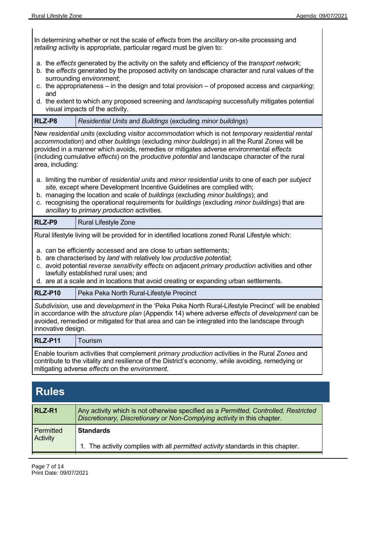In determining whether or not the scale of *effects* from the *ancillary* on-site processing and *retailing* activity is appropriate, particular regard must be given to: a. the *effects* generated by the activity on the safety and efficiency of the *transport network*; b. the *effects* generated by the proposed activity on landscape character and rural values of the surrounding *environment*; c. the appropriateness – in the design and total provision – of proposed access and *carparking*; and d. the extent to which any proposed screening and *landscaping* successfully mitigates potential visual impacts of the activity. **RLZ-P8**  *Residential Units* and *Buildings* (excluding *minor buildings*) New *residential units* (excluding *visitor accommodation* which is not *temporary residential rental accommodation*) and other *buildings* (excluding *minor buildings*) in all the Rural *Zones* will be provided in a manner which avoids, remedies or mitigates adverse environmental *effects* (including cumulative *effects*) on the *productive potential* and landscape character of the rural area, including: a. limiting the number of *residential units* and *minor residential units* to one of each per *subject site,* except where Development Incentive Guidelines are complied with; b. managing the location and scale of *buildings* (excluding *minor buildings*); and c. recognising the operational requirements for *buildings* (excluding *minor buildings*) that are *ancillary* to *primary production* activities. **RLZ-P9** | Rural Lifestyle Zone Rural lifestyle living will be provided for in identified locations zoned Rural Lifestyle which: a. can be efficiently accessed and are close to urban settlements; b. are characterised by *land* with relatively low *productive potential*; c. avoid potential *reverse sensitivity effects* on adjacent *primary production* activities and other lawfully established rural uses; and d. are at a scale and in locations that avoid creating or expanding urban settlements. **RLZ-P10** | Peka Peka North Rural-Lifestyle Precinct *Subdivision,* use and *development* in the 'Peka Peka North Rural-Lifestyle Precinct' will be enabled in accordance with the *structure plan* (Appendix 14) where adverse *effects* of *development* can be avoided, remedied or mitigated for that area and can be integrated into the landscape through innovative design. **RLZ-P11**  Tourism Enable tourism activities that complement *primary production* activities in the Rural *Zones* and contribute to the vitality and resilience of the District's economy, while avoiding, remedying or mitigating adverse *effects* on the *environment.* **Rules RLZ-R1** Any activity which is not otherwise specified as a *Permitted, Controlled, Restricted Discretionary, Discretionary or Non-Complying activity* in this chapter*.* **Permitted Activity Standards** 1. The activity complies with all *permitted activity* standards in this chapter.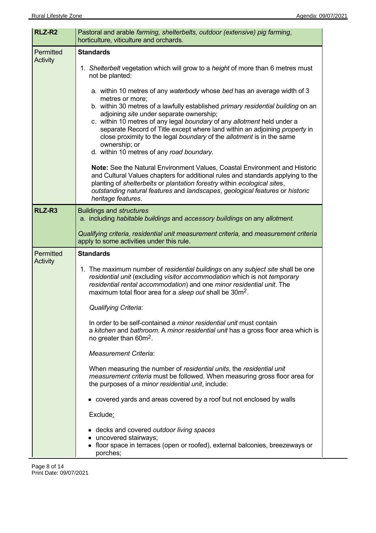| RLZ-R <sub>2</sub>           | Pastoral and arable farming, shelterbelts, outdoor (extensive) pig farming,<br>horticulture, viticulture and orchards.                                                                                                                                                                                                                                                                                                                                                                                                                                                                                                                                                                                                                                                                                                                                   |
|------------------------------|----------------------------------------------------------------------------------------------------------------------------------------------------------------------------------------------------------------------------------------------------------------------------------------------------------------------------------------------------------------------------------------------------------------------------------------------------------------------------------------------------------------------------------------------------------------------------------------------------------------------------------------------------------------------------------------------------------------------------------------------------------------------------------------------------------------------------------------------------------|
| Permitted<br><b>Activity</b> | <b>Standards</b><br>1. Shelterbelt vegetation which will grow to a height of more than 6 metres must<br>not be planted:                                                                                                                                                                                                                                                                                                                                                                                                                                                                                                                                                                                                                                                                                                                                  |
|                              | a. within 10 metres of any waterbody whose bed has an average width of 3<br>metres or more;<br>b. within 30 metres of a lawfully established primary residential building on an<br>adjoining site under separate ownership;<br>c. within 10 metres of any legal boundary of any allotment held under a<br>separate Record of Title except where land within an adjoining property in<br>close proximity to the legal boundary of the allotment is in the same<br>ownership; or<br>d. within 10 metres of any road boundary.<br>Note: See the Natural Environment Values, Coastal Environment and Historic<br>and Cultural Values chapters for additional rules and standards applying to the<br>planting of shelterbelts or plantation forestry within ecological sites,<br>outstanding natural features and landscapes, geological features or historic |
| RLZ-R <sub>3</sub>           | heritage features.<br><b>Buildings and structures</b><br>a. including habitable buildings and accessory buildings on any allotment.                                                                                                                                                                                                                                                                                                                                                                                                                                                                                                                                                                                                                                                                                                                      |
|                              | Qualifying criteria, residential unit measurement criteria, and measurement criteria<br>apply to some activities under this rule.                                                                                                                                                                                                                                                                                                                                                                                                                                                                                                                                                                                                                                                                                                                        |
| Permitted                    | <b>Standards</b>                                                                                                                                                                                                                                                                                                                                                                                                                                                                                                                                                                                                                                                                                                                                                                                                                                         |
| <b>Activity</b>              | 1. The maximum number of residential buildings on any subject site shall be one<br>residential unit (excluding visitor accommodation which is not temporary<br>residential rental accommodation) and one minor residential unit. The<br>maximum total floor area for a sleep out shall be 30m <sup>2</sup> .                                                                                                                                                                                                                                                                                                                                                                                                                                                                                                                                             |
|                              | <b>Qualifying Criteria:</b>                                                                                                                                                                                                                                                                                                                                                                                                                                                                                                                                                                                                                                                                                                                                                                                                                              |
|                              | In order to be self-contained a <i>minor residential unit</i> must contain<br>a kitchen and bathroom. A minor residential unit has a gross floor area which is<br>no greater than $60m^2$ .                                                                                                                                                                                                                                                                                                                                                                                                                                                                                                                                                                                                                                                              |
|                              | <b>Measurement Criteria:</b>                                                                                                                                                                                                                                                                                                                                                                                                                                                                                                                                                                                                                                                                                                                                                                                                                             |
|                              | When measuring the number of residential units, the residential unit<br>measurement criteria must be followed. When measuring gross floor area for<br>the purposes of a <i>minor residential unit</i> , include:                                                                                                                                                                                                                                                                                                                                                                                                                                                                                                                                                                                                                                         |
|                              | • covered yards and areas covered by a roof but not enclosed by walls                                                                                                                                                                                                                                                                                                                                                                                                                                                                                                                                                                                                                                                                                                                                                                                    |
|                              | Exclude:                                                                                                                                                                                                                                                                                                                                                                                                                                                                                                                                                                                                                                                                                                                                                                                                                                                 |
|                              | • decks and covered outdoor living spaces<br>• uncovered stairways;<br>• floor space in terraces (open or roofed), external balconies, breezeways or<br>porches;                                                                                                                                                                                                                                                                                                                                                                                                                                                                                                                                                                                                                                                                                         |

 $\overline{a}$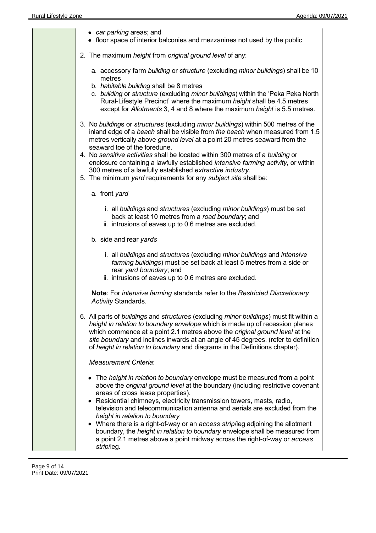| • car parking areas; and<br>• floor space of interior balconies and mezzanines not used by the public                                                                                                                                                                                                                                                                                                                                                                                                                                                                                                                                                      |
|------------------------------------------------------------------------------------------------------------------------------------------------------------------------------------------------------------------------------------------------------------------------------------------------------------------------------------------------------------------------------------------------------------------------------------------------------------------------------------------------------------------------------------------------------------------------------------------------------------------------------------------------------------|
| 2. The maximum height from original ground level of any:                                                                                                                                                                                                                                                                                                                                                                                                                                                                                                                                                                                                   |
| a. accessory farm building or structure (excluding minor buildings) shall be 10<br>metres<br>b. habitable building shall be 8 metres<br>c. building or structure (excluding minor buildings) within the 'Peka Peka North<br>Rural-Lifestyle Precinct' where the maximum height shall be 4.5 metres<br>except for Allotments 3, 4 and 8 where the maximum height is 5.5 metres.                                                                                                                                                                                                                                                                             |
| 3. No buildings or structures (excluding minor buildings) within 500 metres of the<br>inland edge of a beach shall be visible from the beach when measured from 1.5<br>metres vertically above ground level at a point 20 metres seaward from the<br>seaward toe of the foredune.<br>4. No sensitive activities shall be located within 300 metres of a building or<br>enclosure containing a lawfully established intensive farming activity, or within<br>300 metres of a lawfully established extractive industry.<br>5. The minimum yard requirements for any subject site shall be:                                                                   |
| a. front yard                                                                                                                                                                                                                                                                                                                                                                                                                                                                                                                                                                                                                                              |
| i. all buildings and structures (excluding minor buildings) must be set<br>back at least 10 metres from a road boundary; and<br>ii. intrusions of eaves up to 0.6 metres are excluded.                                                                                                                                                                                                                                                                                                                                                                                                                                                                     |
| b. side and rear yards                                                                                                                                                                                                                                                                                                                                                                                                                                                                                                                                                                                                                                     |
| i. all buildings and structures (excluding minor buildings and intensive<br>farming buildings) must be set back at least 5 metres from a side or<br>rear yard boundary; and<br>ii. intrusions of eaves up to 0.6 metres are excluded.                                                                                                                                                                                                                                                                                                                                                                                                                      |
| Note: For intensive farming standards refer to the Restricted Discretionary<br>Activity Standards.                                                                                                                                                                                                                                                                                                                                                                                                                                                                                                                                                         |
| 6. All parts of buildings and structures (excluding minor buildings) must fit within a<br>height in relation to boundary envelope which is made up of recession planes<br>which commence at a point 2.1 metres above the original ground level at the<br>site boundary and inclines inwards at an angle of 45 degrees. (refer to definition<br>of height in relation to boundary and diagrams in the Definitions chapter).                                                                                                                                                                                                                                 |
| <b>Measurement Criteria:</b>                                                                                                                                                                                                                                                                                                                                                                                                                                                                                                                                                                                                                               |
| • The height in relation to boundary envelope must be measured from a point<br>above the original ground level at the boundary (including restrictive covenant<br>areas of cross lease properties).<br>• Residential chimneys, electricity transmission towers, masts, radio,<br>television and telecommunication antenna and aerials are excluded from the<br>height in relation to boundary<br>• Where there is a right-of-way or an access strip/leg adjoining the allotment<br>boundary, the height in relation to boundary envelope shall be measured from<br>a point 2.1 metres above a point midway across the right-of-way or access<br>strip/leg. |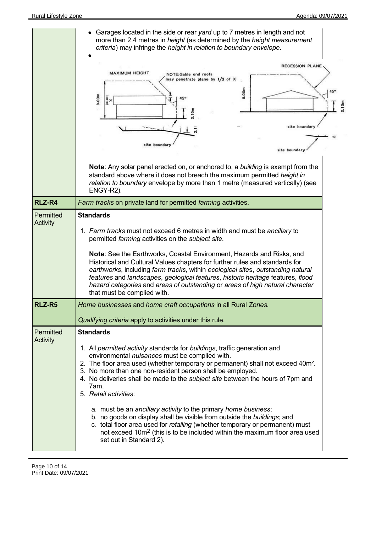|                              | Garages located in the side or rear yard up to 7 metres in length and not<br>more than 2.4 metres in height (as determined by the height measurement<br>criteria) may infringe the height in relation to boundary envelope.<br>RECESSION PLANE<br><b>MAXIMUM HEIGHT</b><br>NOTE:Gable end roofs<br>may penetrate plane by 1/3 of X<br>8.00m<br>8.00m<br>45°<br>2.10m<br>site boundary<br>site boundary<br>site boundary<br>Note: Any solar panel erected on, or anchored to, a building is exempt from the<br>standard above where it does not breach the maximum permitted height in<br>relation to boundary envelope by more than 1 metre (measured vertically) (see<br>ENGY-R2).                                                                                                                                                                   | 2.10n |
|------------------------------|-------------------------------------------------------------------------------------------------------------------------------------------------------------------------------------------------------------------------------------------------------------------------------------------------------------------------------------------------------------------------------------------------------------------------------------------------------------------------------------------------------------------------------------------------------------------------------------------------------------------------------------------------------------------------------------------------------------------------------------------------------------------------------------------------------------------------------------------------------|-------|
| RLZ-R4                       | Farm tracks on private land for permitted farming activities.                                                                                                                                                                                                                                                                                                                                                                                                                                                                                                                                                                                                                                                                                                                                                                                         |       |
| Permitted<br>Activity        | <b>Standards</b><br>1. Farm tracks must not exceed 6 metres in width and must be ancillary to<br>permitted farming activities on the subject site.<br>Note: See the Earthworks, Coastal Environment, Hazards and Risks, and<br>Historical and Cultural Values chapters for further rules and standards for<br>earthworks, including farm tracks, within ecological sites, outstanding natural<br>features and landscapes, geological features, historic heritage features, flood<br>hazard categories and areas of outstanding or areas of high natural character<br>that must be complied with.                                                                                                                                                                                                                                                      |       |
| RLZ-R5                       | Home businesses and home craft occupations in all Rural Zones.                                                                                                                                                                                                                                                                                                                                                                                                                                                                                                                                                                                                                                                                                                                                                                                        |       |
| Permitted<br><b>Activity</b> | Qualifying criteria apply to activities under this rule.<br><b>Standards</b><br>1. All permitted activity standards for buildings, traffic generation and<br>environmental nuisances must be complied with.<br>2. The floor area used (whether temporary or permanent) shall not exceed 40m <sup>2</sup> .<br>3. No more than one non-resident person shall be employed.<br>4. No deliveries shall be made to the <i>subject site</i> between the hours of 7pm and<br>7am.<br>5. Retail activities:<br>a. must be an ancillary activity to the primary home business;<br>b. no goods on display shall be visible from outside the buildings; and<br>c. total floor area used for retailing (whether temporary or permanent) must<br>not exceed 10m <sup>2</sup> (this is to be included within the maximum floor area used<br>set out in Standard 2). |       |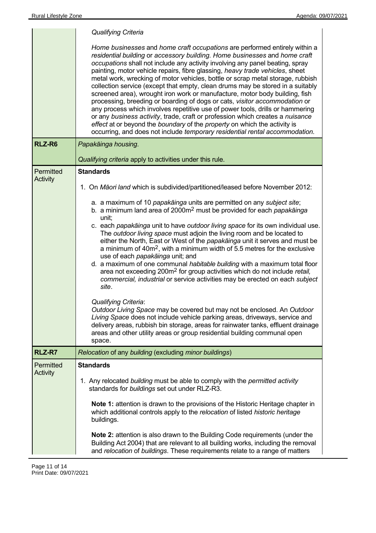|                              | <b>Qualifying Criteria</b>                                                                                                                                                                                                                                                                                                                                                                                                                                                                                                                                                                                                                                                                                                                                                                                                                                                                                                                                                                                                                                                                                                                                                         |
|------------------------------|------------------------------------------------------------------------------------------------------------------------------------------------------------------------------------------------------------------------------------------------------------------------------------------------------------------------------------------------------------------------------------------------------------------------------------------------------------------------------------------------------------------------------------------------------------------------------------------------------------------------------------------------------------------------------------------------------------------------------------------------------------------------------------------------------------------------------------------------------------------------------------------------------------------------------------------------------------------------------------------------------------------------------------------------------------------------------------------------------------------------------------------------------------------------------------|
|                              | Home businesses and home craft occupations are performed entirely within a<br>residential building or accessory building. Home businesses and home craft<br>occupations shall not include any activity involving any panel beating, spray<br>painting, motor vehicle repairs, fibre glassing, heavy trade vehicles, sheet<br>metal work, wrecking of motor vehicles, bottle or scrap metal storage, rubbish<br>collection service (except that empty, clean drums may be stored in a suitably<br>screened area), wrought iron work or manufacture, motor body building, fish<br>processing, breeding or boarding of dogs or cats, visitor accommodation or<br>any process which involves repetitive use of power tools, drills or hammering<br>or any business activity, trade, craft or profession which creates a nuisance<br>effect at or beyond the boundary of the property on which the activity is<br>occurring, and does not include temporary residential rental accommodation.                                                                                                                                                                                           |
| RLZ-R6                       | Papakāinga housing.                                                                                                                                                                                                                                                                                                                                                                                                                                                                                                                                                                                                                                                                                                                                                                                                                                                                                                                                                                                                                                                                                                                                                                |
|                              | Qualifying criteria apply to activities under this rule.                                                                                                                                                                                                                                                                                                                                                                                                                                                                                                                                                                                                                                                                                                                                                                                                                                                                                                                                                                                                                                                                                                                           |
| Permitted<br><b>Activity</b> | <b>Standards</b>                                                                                                                                                                                                                                                                                                                                                                                                                                                                                                                                                                                                                                                                                                                                                                                                                                                                                                                                                                                                                                                                                                                                                                   |
|                              | 1. On Māori land which is subdivided/partitioned/leased before November 2012:                                                                                                                                                                                                                                                                                                                                                                                                                                                                                                                                                                                                                                                                                                                                                                                                                                                                                                                                                                                                                                                                                                      |
|                              | a. a maximum of 10 papakāinga units are permitted on any subject site;<br>b. a minimum land area of 2000m <sup>2</sup> must be provided for each papakainga<br>unit:<br>c. each papakāinga unit to have outdoor living space for its own individual use.<br>The outdoor living space must adjoin the living room and be located to<br>either the North, East or West of the papakainga unit it serves and must be<br>a minimum of 40m <sup>2</sup> , with a minimum width of 5.5 metres for the exclusive<br>use of each papakainga unit; and<br>d. a maximum of one communal habitable building with a maximum total floor<br>area not exceeding 200m <sup>2</sup> for group activities which do not include retail,<br>commercial, industrial or service activities may be erected on each subject<br>site.<br><b>Qualifying Criteria:</b><br>Outdoor Living Space may be covered but may not be enclosed. An Outdoor<br>Living Space does not include vehicle parking areas, driveways, service and<br>delivery areas, rubbish bin storage, areas for rainwater tanks, effluent drainage<br>areas and other utility areas or group residential building communal open<br>space. |
| RLZ-R7                       | Relocation of any building (excluding minor buildings)                                                                                                                                                                                                                                                                                                                                                                                                                                                                                                                                                                                                                                                                                                                                                                                                                                                                                                                                                                                                                                                                                                                             |
| Permitted<br><b>Activity</b> | <b>Standards</b>                                                                                                                                                                                                                                                                                                                                                                                                                                                                                                                                                                                                                                                                                                                                                                                                                                                                                                                                                                                                                                                                                                                                                                   |
|                              | 1. Any relocated building must be able to comply with the permitted activity<br>standards for buildings set out under RLZ-R3.                                                                                                                                                                                                                                                                                                                                                                                                                                                                                                                                                                                                                                                                                                                                                                                                                                                                                                                                                                                                                                                      |
|                              | Note 1: attention is drawn to the provisions of the Historic Heritage chapter in<br>which additional controls apply to the relocation of listed historic heritage<br>buildings.                                                                                                                                                                                                                                                                                                                                                                                                                                                                                                                                                                                                                                                                                                                                                                                                                                                                                                                                                                                                    |
|                              | <b>Note 2:</b> attention is also drawn to the Building Code requirements (under the<br>Building Act 2004) that are relevant to all building works, including the removal<br>and relocation of buildings. These requirements relate to a range of matters                                                                                                                                                                                                                                                                                                                                                                                                                                                                                                                                                                                                                                                                                                                                                                                                                                                                                                                           |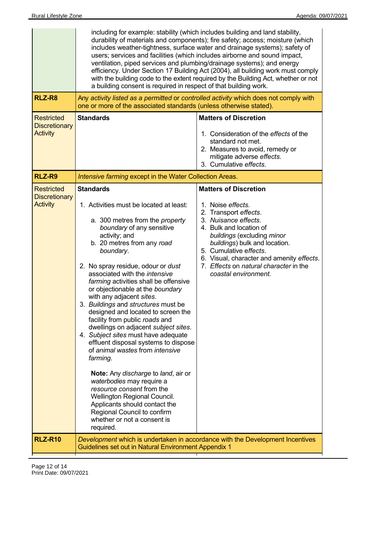|                                                              | including for example: stability (which includes building and land stability,<br>durability of materials and components); fire safety; access; moisture (which<br>includes weather-tightness, surface water and drainage systems); safety of<br>users; services and facilities (which includes airborne and sound impact,<br>ventilation, piped services and plumbing/drainage systems); and energy<br>efficiency. Under Section 17 Building Act (2004), all building work must comply<br>with the building code to the extent required by the Building Act, whether or not<br>a building consent is required in respect of that building work.                                                                                                                                                                                                                      |                                                                                                                                                                                                                                                                                                                                       |
|--------------------------------------------------------------|----------------------------------------------------------------------------------------------------------------------------------------------------------------------------------------------------------------------------------------------------------------------------------------------------------------------------------------------------------------------------------------------------------------------------------------------------------------------------------------------------------------------------------------------------------------------------------------------------------------------------------------------------------------------------------------------------------------------------------------------------------------------------------------------------------------------------------------------------------------------|---------------------------------------------------------------------------------------------------------------------------------------------------------------------------------------------------------------------------------------------------------------------------------------------------------------------------------------|
| RLZ-R8                                                       | one or more of the associated standards (unless otherwise stated).                                                                                                                                                                                                                                                                                                                                                                                                                                                                                                                                                                                                                                                                                                                                                                                                   | Any activity listed as a permitted or controlled activity which does not comply with                                                                                                                                                                                                                                                  |
| <b>Restricted</b><br><b>Discretionary</b><br><b>Activity</b> | <b>Standards</b>                                                                                                                                                                                                                                                                                                                                                                                                                                                                                                                                                                                                                                                                                                                                                                                                                                                     | <b>Matters of Discretion</b><br>1. Consideration of the effects of the<br>standard not met.<br>2. Measures to avoid, remedy or<br>mitigate adverse effects.<br>3. Cumulative effects.                                                                                                                                                 |
| RLZ-R9                                                       | Intensive farming except in the Water Collection Areas.                                                                                                                                                                                                                                                                                                                                                                                                                                                                                                                                                                                                                                                                                                                                                                                                              |                                                                                                                                                                                                                                                                                                                                       |
| <b>Restricted</b><br><b>Discretionary</b><br><b>Activity</b> | <b>Standards</b><br>1. Activities must be located at least:<br>a. 300 metres from the <i>property</i><br>boundary of any sensitive<br>activity; and<br>b. 20 metres from any road<br>boundary.<br>2. No spray residue, odour or dust<br>associated with the intensive<br>farming activities shall be offensive<br>or objectionable at the boundary<br>with any adjacent sites.<br>3. Buildings and structures must be<br>designed and located to screen the<br>facility from public roads and<br>dwellings on adjacent subject sites.<br>4. Subject sites must have adequate<br>effluent disposal systems to dispose<br>of animal wastes from intensive<br>farming.<br>Note: Any discharge to land, air or<br>waterbodies may require a<br>resource consent from the<br>Wellington Regional Council.<br>Applicants should contact the<br>Regional Council to confirm | <b>Matters of Discretion</b><br>1. Noise effects.<br>2. Transport effects.<br>3. Nuisance effects.<br>4. Bulk and location of<br>buildings (excluding minor<br>buildings) bulk and location.<br>5. Cumulative effects.<br>6. Visual, character and amenity effects.<br>7. Effects on natural character in the<br>coastal environment. |
| <b>RLZ-R10</b>                                               | whether or not a consent is<br>required.<br>Guidelines set out in Natural Environment Appendix 1                                                                                                                                                                                                                                                                                                                                                                                                                                                                                                                                                                                                                                                                                                                                                                     | Development which is undertaken in accordance with the Development Incentives                                                                                                                                                                                                                                                         |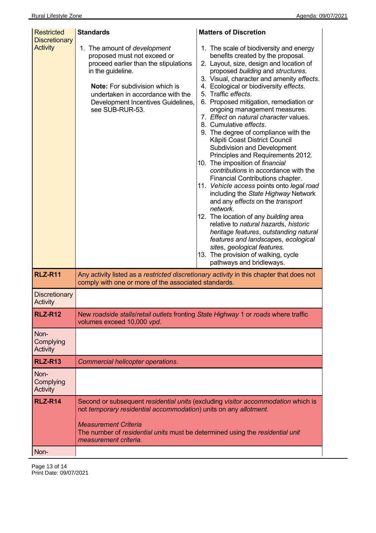| <b>Restricted</b><br><b>Discretionary</b><br><b>Activity</b> | <b>Standards</b><br>1. The amount of <i>development</i><br>proposed must not exceed or<br>proceed earlier than the stipulations<br>in the guideline.<br><b>Note:</b> For subdivision which is<br>undertaken in accordance with the<br>Development Incentives Guidelines,<br>see SUB-RUR-53. | <b>Matters of Discretion</b><br>1. The scale of biodiversity and energy<br>benefits created by the proposal.<br>2. Layout, size, design and location of<br>proposed building and structures.<br>3. Visual, character and amenity effects.<br>4. Ecological or biodiversity effects.<br>5. Traffic effects.<br>6. Proposed mitigation, remediation or<br>ongoing management measures.<br>7. Effect on natural character values.<br>8. Cumulative effects.<br>9. The degree of compliance with the<br>Kāpiti Coast District Council<br>Subdivision and Development<br>Principles and Requirements 2012.<br>10. The imposition of financial<br>contributions in accordance with the<br>Financial Contributions chapter.<br>11. Vehicle access points onto legal road<br>including the State Highway Network<br>and any effects on the transport<br>network.<br>12. The location of any building area<br>relative to natural hazards, historic<br>heritage features, outstanding natural<br>features and landscapes, ecological<br>sites, geological features.<br>13. The provision of walking, cycle |
|--------------------------------------------------------------|---------------------------------------------------------------------------------------------------------------------------------------------------------------------------------------------------------------------------------------------------------------------------------------------|---------------------------------------------------------------------------------------------------------------------------------------------------------------------------------------------------------------------------------------------------------------------------------------------------------------------------------------------------------------------------------------------------------------------------------------------------------------------------------------------------------------------------------------------------------------------------------------------------------------------------------------------------------------------------------------------------------------------------------------------------------------------------------------------------------------------------------------------------------------------------------------------------------------------------------------------------------------------------------------------------------------------------------------------------------------------------------------------------|
| <b>RLZ-R11</b>                                               | comply with one or more of the associated standards.                                                                                                                                                                                                                                        | pathways and bridleways.<br>Any activity listed as a restricted discretionary activity in this chapter that does not                                                                                                                                                                                                                                                                                                                                                                                                                                                                                                                                                                                                                                                                                                                                                                                                                                                                                                                                                                              |
| <b>Discretionary</b><br>Activity                             |                                                                                                                                                                                                                                                                                             |                                                                                                                                                                                                                                                                                                                                                                                                                                                                                                                                                                                                                                                                                                                                                                                                                                                                                                                                                                                                                                                                                                   |
| <b>RLZ-R12</b>                                               | New roadside stalls/retail outlets fronting State Highway 1 or roads where traffic<br>volumes exceed 10,000 vpd.                                                                                                                                                                            |                                                                                                                                                                                                                                                                                                                                                                                                                                                                                                                                                                                                                                                                                                                                                                                                                                                                                                                                                                                                                                                                                                   |
| Non-<br>Complying<br>Activity                                |                                                                                                                                                                                                                                                                                             |                                                                                                                                                                                                                                                                                                                                                                                                                                                                                                                                                                                                                                                                                                                                                                                                                                                                                                                                                                                                                                                                                                   |
| <b>RLZ-R13</b>                                               | Commercial helicopter operations.                                                                                                                                                                                                                                                           |                                                                                                                                                                                                                                                                                                                                                                                                                                                                                                                                                                                                                                                                                                                                                                                                                                                                                                                                                                                                                                                                                                   |
| Non-<br>Complying<br>Activity                                |                                                                                                                                                                                                                                                                                             |                                                                                                                                                                                                                                                                                                                                                                                                                                                                                                                                                                                                                                                                                                                                                                                                                                                                                                                                                                                                                                                                                                   |
| <b>RLZ-R14</b><br>Non-                                       | not temporary residential accommodation) units on any allotment.<br><b>Measurement Criteria</b><br>The number of residential units must be determined using the residential unit<br>measurement criteria.                                                                                   | Second or subsequent residential units (excluding visitor accommodation which is                                                                                                                                                                                                                                                                                                                                                                                                                                                                                                                                                                                                                                                                                                                                                                                                                                                                                                                                                                                                                  |
|                                                              |                                                                                                                                                                                                                                                                                             |                                                                                                                                                                                                                                                                                                                                                                                                                                                                                                                                                                                                                                                                                                                                                                                                                                                                                                                                                                                                                                                                                                   |